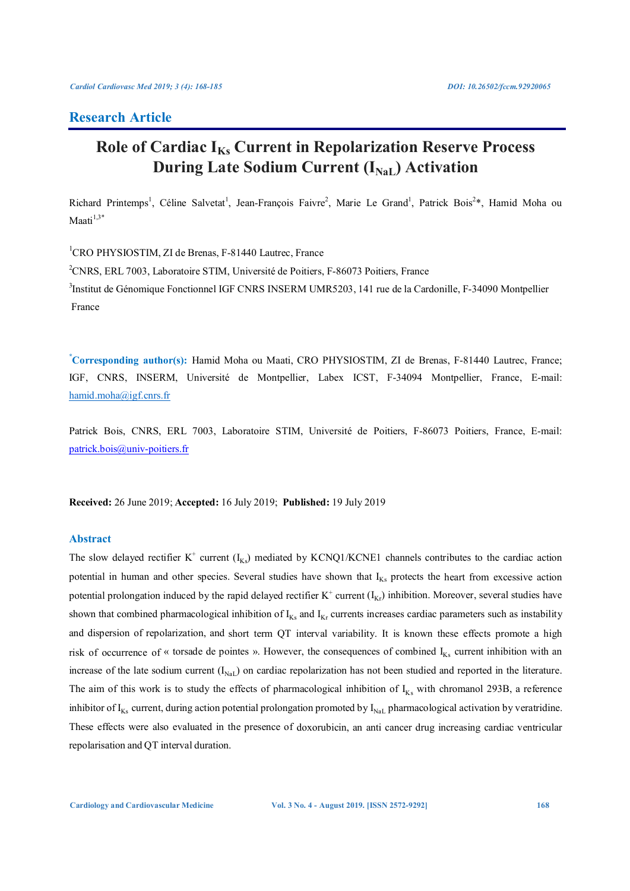# **Research Article**

# **Role of Cardiac IKs Current in Repolarization Reserve Process During Late Sodium Current (I<sub>NaL</sub>) Activation**

Richard Printemps<sup>1</sup>, Céline Salvetat<sup>1</sup>, Jean-François Faivre<sup>2</sup>, Marie Le Grand<sup>1</sup>, Patrick Bois<sup>2\*</sup>, Hamid Moha ou Maati $1,3^*$ 

<sup>1</sup>CRO PHYSIOSTIM, ZI de Brenas, F-81440 Lautrec, France <sup>2</sup>CNRS, ERL 7003, Laboratoire STIM, Université de Poitiers, F-86073 Poitiers, France <sup>3</sup>Institut de Génomique Fonctionnel IGF CNRS INSERM UMR5203, 141 rue de la Cardonille, F-34090 Montpellier France

**\* Corresponding author(s):** Hamid Moha ou Maati, CRO PHYSIOSTIM, ZI de Brenas, F-81440 Lautrec, France; IGF, CNRS, INSERM, Université de Montpellier, Labex ICST, F-34094 Montpellier, France, E-mail: hamid.moha@igf.cnrs.fr

Patrick Bois, CNRS, ERL 7003, Laboratoire STIM, Université de Poitiers, F-86073 Poitiers, France, E-mail: patrick.bois@univ-poitiers.fr

**Received:** 26 June 2019; **Accepted:** 16 July 2019; **Published:** 19 July 2019

# **Abstract**

The slow delayed rectifier  $K^+$  current  $(I_{Ks})$  mediated by KCNQ1/KCNE1 channels contributes to the cardiac action potential in human and other species. Several studies have shown that  $I_{Ks}$  protects the heart from excessive action potential prolongation induced by the rapid delayed rectifier  $K^+$  current  $(I_{Kr})$  inhibition. Moreover, several studies have shown that combined pharmacological inhibition of  $I_{Ks}$  and  $I_{Kr}$  currents increases cardiac parameters such as instability and dispersion of repolarization, and short term QT interval variability. It is known these effects promote a high risk of occurrence of « torsade de pointes ». However, the consequences of combined  $I_{Ks}$  current inhibition with an increase of the late sodium current  $(I_{\text{NaL}})$  on cardiac repolarization has not been studied and reported in the literature. The aim of this work is to study the effects of pharmacological inhibition of  $I_{Ks}$  with chromanol 293B, a reference inhibitor of  $I_{Ks}$  current, during action potential prolongation promoted by  $I_{NaL}$  pharmacological activation by veratridine. These effects were also evaluated in the presence of doxorubicin, an anti cancer drug increasing cardiac ventricular repolarisation and QT interval duration.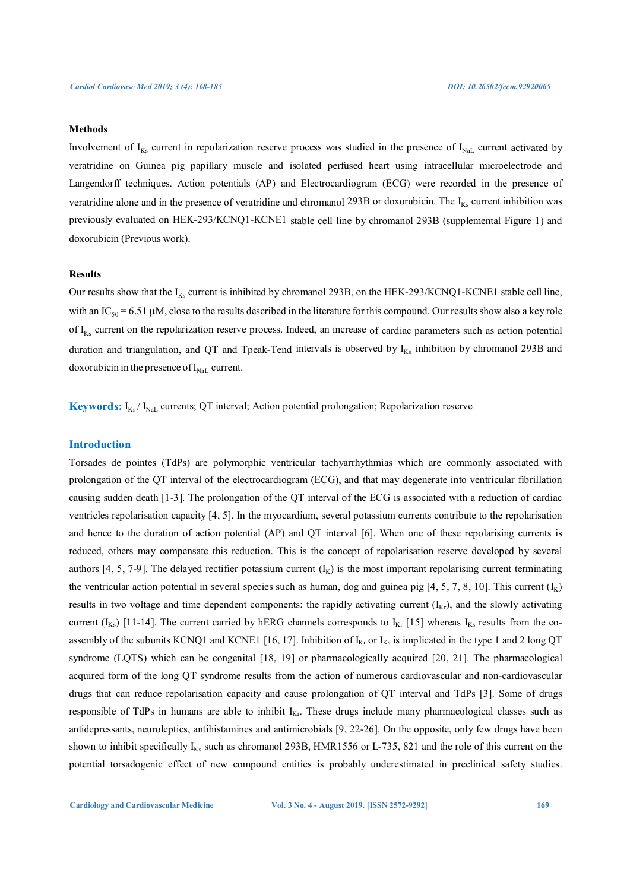### **Methods**

Involvement of  $I_{Ks}$  current in repolarization reserve process was studied in the presence of  $I_{NaL}$  current activated by veratridine on Guinea pig papillary muscle and isolated perfused heart using intracellular microelectrode and Langendorff techniques. Action potentials (AP) and Electrocardiogram (ECG) were recorded in the presence of veratridine alone and in the presence of veratridine and chromanol 293B or doxorubicin. The  $I_{Ks}$  current inhibition was previously evaluated on HEK-293/KCNQ1-KCNE1 stable cell line by chromanol 293B (supplemental Figure 1) and doxorubicin (Previous work).

# **Results**

Our results show that the  $I_{Ks}$  current is inhibited by chromanol 293B, on the HEK-293/KCNQ1-KCNE1 stable cell line, with an IC<sub>50</sub> = 6.51 µM, close to the results described in the literature for this compound. Our results show also a key role of  $I_{Ks}$  current on the repolarization reserve process. Indeed, an increase of cardiac parameters such as action potential duration and triangulation, and QT and Tpeak-Tend intervals is observed by  $I_{Ks}$  inhibition by chromanol 293B and doxorubicin in the presence of  $I_{\text{NaL}}$  current.

**Keywords:**  $I_{Ks}/I_{Nat}$  currents; QT interval; Action potential prolongation; Repolarization reserve

# **Introduction**

Torsades de pointes (TdPs) are polymorphic ventricular tachyarrhythmias which are commonly associated with prolongation of the QT interval of the electrocardiogram (ECG), and that may degenerate into ventricular fibrillation causing sudden death [1-3]. The prolongation of the QT interval of the ECG is associated with a reduction of cardiac ventricles repolarisation capacity [4, 5]. In the myocardium, several potassium currents contribute to the repolarisation and hence to the duration of action potential (AP) and QT interval [6]. When one of these repolarising currents is reduced, others may compensate this reduction. This is the concept of repolarisation reserve developed by several authors [4, 5, 7-9]. The delayed rectifier potassium current  $(I_K)$  is the most important repolarising current terminating the ventricular action potential in several species such as human, dog and guinea pig [4, 5, 7, 8, 10]. This current  $(I_K)$ results in two voltage and time dependent components: the rapidly activating current  $(I_{Kr})$ , and the slowly activating current ( $I_{Ks}$ ) [11-14]. The current carried by hERG channels corresponds to  $I_{Kr}$  [15] whereas  $I_{Ks}$  results from the coassembly of the subunits KCNQ1 and KCNE1 [16, 17]. Inhibition of  $I_{Kr}$  or  $I_{Ks}$  is implicated in the type 1 and 2 long QT syndrome (LQTS) which can be congenital [18, 19] or pharmacologically acquired [20, 21]. The pharmacological acquired form of the long QT syndrome results from the action of numerous cardiovascular and non-cardiovascular drugs that can reduce repolarisation capacity and cause prolongation of QT interval and TdPs [3]. Some of drugs responsible of TdPs in humans are able to inhibit  $I_{Kr}$ . These drugs include many pharmacological classes such as antidepressants, neuroleptics, antihistamines and antimicrobials [9, 22-26]. On the opposite, only few drugs have been shown to inhibit specifically  $I_{Ks}$  such as chromanol 293B, HMR1556 or L-735, 821 and the role of this current on the potential torsadogenic effect of new compound entities is probably underestimated in preclinical safety studies.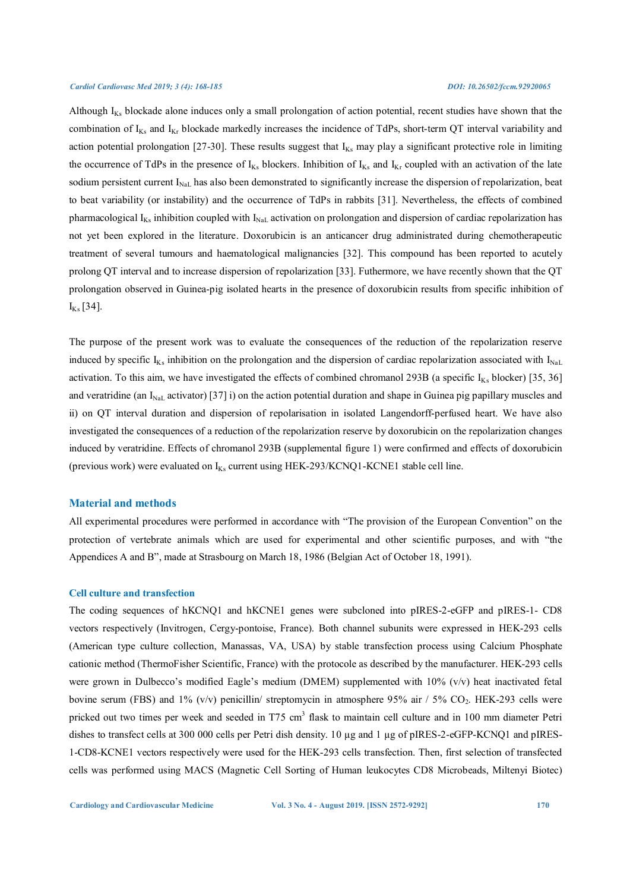Although  $I_{Ks}$  blockade alone induces only a small prolongation of action potential, recent studies have shown that the combination of  $I_{Ks}$  and  $I_{Kr}$  blockade markedly increases the incidence of TdPs, short-term QT interval variability and action potential prolongation [27-30]. These results suggest that  $I_{Ks}$  may play a significant protective role in limiting the occurrence of TdPs in the presence of  $I_{Ks}$  blockers. Inhibition of  $I_{Ks}$  and  $I_{Kr}$  coupled with an activation of the late sodium persistent current  $I_{\text{NaL}}$  has also been demonstrated to significantly increase the dispersion of repolarization, beat to beat variability (or instability) and the occurrence of TdPs in rabbits [31]. Nevertheless, the effects of combined pharmacological  $I_{Ks}$  inhibition coupled with  $I_{NaL}$  activation on prolongation and dispersion of cardiac repolarization has not yet been explored in the literature. Doxorubicin is an anticancer drug administrated during chemotherapeutic treatment of several tumours and haematological malignancies [32]. This compound has been reported to acutely prolong QT interval and to increase dispersion of repolarization [33]. Futhermore, we have recently shown that the QT prolongation observed in Guinea-pig isolated hearts in the presence of doxorubicin results from specific inhibition of  $I_{Ks}$  [34].

The purpose of the present work was to evaluate the consequences of the reduction of the repolarization reserve induced by specific  $I_{Ks}$  inhibition on the prolongation and the dispersion of cardiac repolarization associated with  $I_{Na}$ activation. To this aim, we have investigated the effects of combined chromanol 293B (a specific  $I_{Ks}$  blocker) [35, 36] and veratridine (an  $I_{\text{NaL}}$  activator) [37] i) on the action potential duration and shape in Guinea pig papillary muscles and ii) on QT interval duration and dispersion of repolarisation in isolated Langendorff-perfused heart. We have also investigated the consequences of a reduction of the repolarization reserve by doxorubicin on the repolarization changes induced by veratridine. Effects of chromanol 293B (supplemental figure 1) were confirmed and effects of doxorubicin (previous work) were evaluated on  $I_{Ks}$  current using HEK-293/KCNQ1-KCNE1 stable cell line.

# **Material and methods**

All experimental procedures were performed in accordance with "The provision of the European Convention" on the protection of vertebrate animals which are used for experimental and other scientific purposes, and with "the Appendices A and B", made at Strasbourg on March 18, 1986 (Belgian Act of October 18, 1991).

### **Cell culture and transfection**

The coding sequences of hKCNQ1 and hKCNE1 genes were subcloned into pIRES-2-eGFP and pIRES-1- CD8 vectors respectively (Invitrogen, Cergy-pontoise, France). Both channel subunits were expressed in HEK-293 cells (American type culture collection, Manassas, VA, USA) by stable transfection process using Calcium Phosphate cationic method (ThermoFisher Scientific, France) with the protocole as described by the manufacturer. HEK-293 cells were grown in Dulbecco's modified Eagle's medium (DMEM) supplemented with  $10\%$  (v/v) heat inactivated fetal bovine serum (FBS) and 1% (v/v) penicillin/ streptomycin in atmosphere 95% air  $/ 5\%$  CO<sub>2</sub>. HEK-293 cells were pricked out two times per week and seeded in T75 cm<sup>3</sup> flask to maintain cell culture and in 100 mm diameter Petri dishes to transfect cells at 300 000 cells per Petri dish density. 10 µg and 1 µg of pIRES-2-eGFP-KCNQ1 and pIRES-1-CD8-KCNE1 vectors respectively were used for the HEK-293 cells transfection. Then, first selection of transfected cells was performed using MACS (Magnetic Cell Sorting of Human leukocytes CD8 Microbeads, Miltenyi Biotec)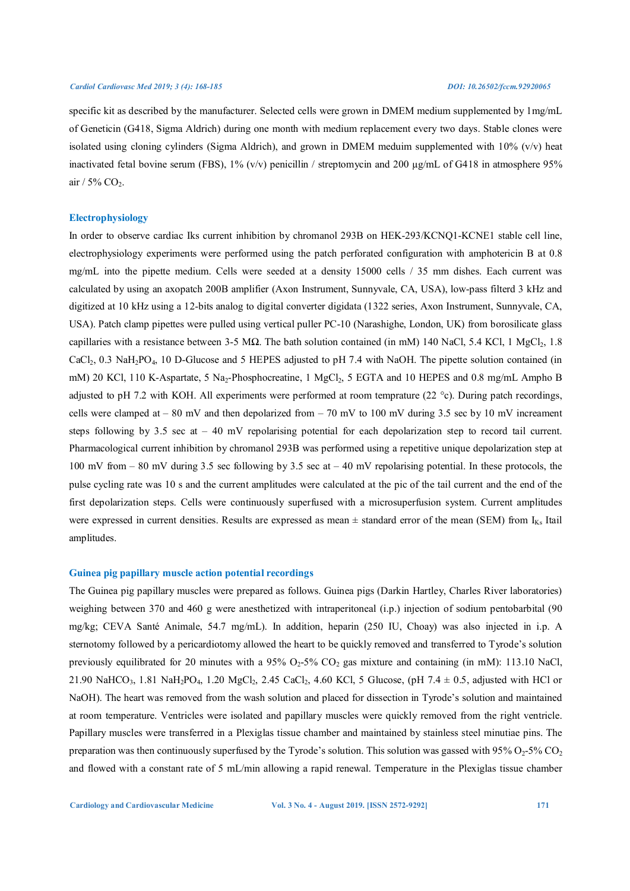specific kit as described by the manufacturer. Selected cells were grown in DMEM medium supplemented by 1mg/mL of Geneticin (G418, Sigma Aldrich) during one month with medium replacement every two days. Stable clones were isolated using cloning cylinders (Sigma Aldrich), and grown in DMEM meduim supplemented with  $10\%$  (v/v) heat inactivated fetal bovine serum (FBS),  $1\%$  (v/v) penicillin / streptomycin and 200  $\mu$ g/mL of G418 in atmosphere 95% air /  $5\%$  CO<sub>2</sub>.

# **Electrophysiology**

In order to observe cardiac Iks current inhibition by chromanol 293B on HEK-293/KCNQ1-KCNE1 stable cell line, electrophysiology experiments were performed using the patch perforated configuration with amphotericin B at 0.8 mg/mL into the pipette medium. Cells were seeded at a density 15000 cells / 35 mm dishes. Each current was calculated by using an axopatch 200B amplifier (Axon Instrument, Sunnyvale, CA, USA), low-pass filterd 3 kHz and digitized at 10 kHz using a 12-bits analog to digital converter digidata (1322 series, Axon Instrument, Sunnyvale, CA, USA). Patch clamp pipettes were pulled using vertical puller PC-10 (Narashighe, London, UK) from borosilicate glass capillaries with a resistance between 3-5 MΩ. The bath solution contained (in mM) 140 NaCl, 5.4 KCl, 1 MgCl2, 1.8 CaCl<sub>2</sub>, 0.3 NaH<sub>2</sub>PO<sub>4</sub>, 10 D-Glucose and 5 HEPES adjusted to pH 7.4 with NaOH. The pipette solution contained (in mM) 20 KCl, 110 K-Aspartate, 5 Na<sub>2</sub>-Phosphocreatine, 1 MgCl<sub>2</sub>, 5 EGTA and 10 HEPES and 0.8 mg/mL Ampho B adjusted to pH 7.2 with KOH. All experiments were performed at room temprature (22 °c). During patch recordings, cells were clamped at – 80 mV and then depolarized from – 70 mV to 100 mV during 3.5 sec by 10 mV increament steps following by 3.5 sec at  $-40$  mV repolarising potential for each depolarization step to record tail current. Pharmacological current inhibition by chromanol 293B was performed using a repetitive unique depolarization step at 100 mV from  $- 80$  mV during 3.5 sec following by 3.5 sec at  $- 40$  mV repolarising potential. In these protocols, the pulse cycling rate was 10 s and the current amplitudes were calculated at the pic of the tail current and the end of the first depolarization steps. Cells were continuously superfused with a microsuperfusion system. Current amplitudes were expressed in current densities. Results are expressed as mean  $\pm$  standard error of the mean (SEM) from  $I_{Ks}$  Itail amplitudes.

# **Guinea pig papillary muscle action potential recordings**

The Guinea pig papillary muscles were prepared as follows. Guinea pigs (Darkin Hartley, Charles River laboratories) weighing between 370 and 460 g were anesthetized with intraperitoneal (i.p.) injection of sodium pentobarbital (90 mg/kg; CEVA Santé Animale, 54.7 mg/mL). In addition, heparin (250 IU, Choay) was also injected in i.p. A sternotomy followed by a pericardiotomy allowed the heart to be quickly removed and transferred to Tyrode's solution previously equilibrated for 20 minutes with a  $95\%$  O<sub>2</sub>-5% CO<sub>2</sub> gas mixture and containing (in mM): 113.10 NaCl, 21.90 NaHCO<sub>3</sub>, 1.81 NaH<sub>2</sub>PO<sub>4</sub>, 1.20 MgCl<sub>2</sub>, 2.45 CaCl<sub>2</sub>, 4.60 KCl, 5 Glucose, (pH 7.4  $\pm$  0.5, adjusted with HCl or NaOH). The heart was removed from the wash solution and placed for dissection in Tyrode's solution and maintained at room temperature. Ventricles were isolated and papillary muscles were quickly removed from the right ventricle. Papillary muscles were transferred in a Plexiglas tissue chamber and maintained by stainless steel minutiae pins. The preparation was then continuously superfused by the Tyrode's solution. This solution was gassed with  $95\% O_2$ -5% CO<sub>2</sub> and flowed with a constant rate of 5 mL/min allowing a rapid renewal. Temperature in the Plexiglas tissue chamber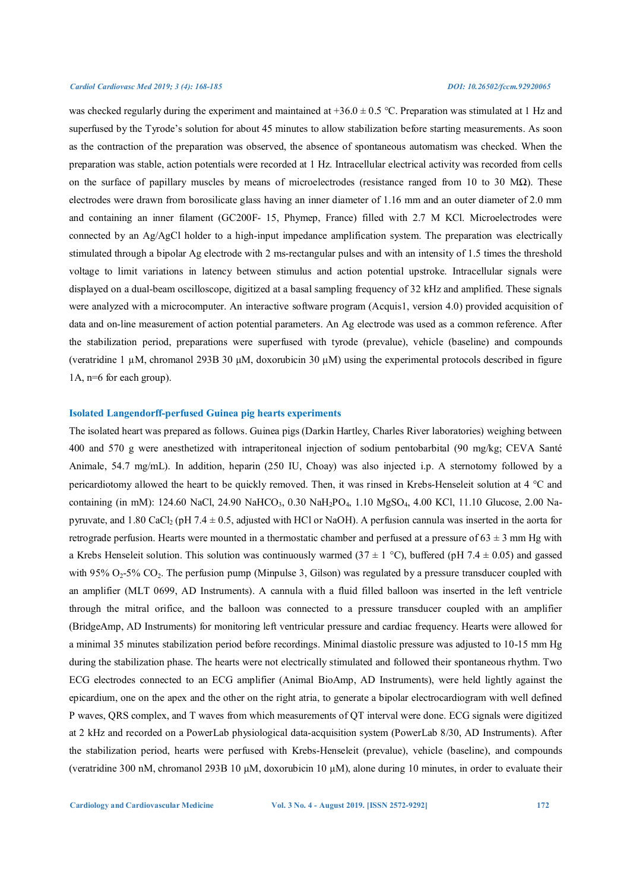was checked regularly during the experiment and maintained at  $+36.0 \pm 0.5$  °C. Preparation was stimulated at 1 Hz and superfused by the Tyrode's solution for about 45 minutes to allow stabilization before starting measurements. As soon as the contraction of the preparation was observed, the absence of spontaneous automatism was checked. When the preparation was stable, action potentials were recorded at 1 Hz. Intracellular electrical activity was recorded from cells on the surface of papillary muscles by means of microelectrodes (resistance ranged from 10 to 30 M $\Omega$ ). These electrodes were drawn from borosilicate glass having an inner diameter of 1.16 mm and an outer diameter of 2.0 mm and containing an inner filament (GC200F- 15, Phymep, France) filled with 2.7 M KCl. Microelectrodes were connected by an Ag/AgCl holder to a high-input impedance amplification system. The preparation was electrically stimulated through a bipolar Ag electrode with 2 ms-rectangular pulses and with an intensity of 1.5 times the threshold voltage to limit variations in latency between stimulus and action potential upstroke. Intracellular signals were displayed on a dual-beam oscilloscope, digitized at a basal sampling frequency of 32 kHz and amplified. These signals were analyzed with a microcomputer. An interactive software program (Acquis1, version 4.0) provided acquisition of data and on-line measurement of action potential parameters. An Ag electrode was used as a common reference. After the stabilization period, preparations were superfused with tyrode (prevalue), vehicle (baseline) and compounds (veratridine 1 µM, chromanol 293B 30 μM, doxorubicin 30 μM) using the experimental protocols described in figure 1A, n=6 for each group).

# **Isolated Langendorff-perfused Guinea pig hearts experiments**

The isolated heart was prepared as follows. Guinea pigs (Darkin Hartley, Charles River laboratories) weighing between 400 and 570 g were anesthetized with intraperitoneal injection of sodium pentobarbital (90 mg/kg; CEVA Santé Animale, 54.7 mg/mL). In addition, heparin (250 IU, Choay) was also injected i.p. A sternotomy followed by a pericardiotomy allowed the heart to be quickly removed. Then, it was rinsed in Krebs-Henseleit solution at 4 °C and containing (in mM): 124.60 NaCl, 24.90 NaHCO<sub>3</sub>, 0.30 NaH<sub>2</sub>PO<sub>4</sub>, 1.10 MgSO<sub>4</sub>, 4.00 KCl, 11.10 Glucose, 2.00 Napyruvate, and 1.80 CaCl<sub>2</sub> (pH 7.4  $\pm$  0.5, adjusted with HCl or NaOH). A perfusion cannula was inserted in the aorta for retrograde perfusion. Hearts were mounted in a thermostatic chamber and perfused at a pressure of  $63 \pm 3$  mm Hg with a Krebs Henseleit solution. This solution was continuously warmed (37  $\pm$  1 °C), buffered (pH 7.4  $\pm$  0.05) and gassed with 95%  $O_2$ -5%  $CO_2$ . The perfusion pump (Minpulse 3, Gilson) was regulated by a pressure transducer coupled with an amplifier (MLT 0699, AD Instruments). A cannula with a fluid filled balloon was inserted in the left ventricle through the mitral orifice, and the balloon was connected to a pressure transducer coupled with an amplifier (BridgeAmp, AD Instruments) for monitoring left ventricular pressure and cardiac frequency. Hearts were allowed for a minimal 35 minutes stabilization period before recordings. Minimal diastolic pressure was adjusted to 10-15 mm Hg during the stabilization phase. The hearts were not electrically stimulated and followed their spontaneous rhythm. Two ECG electrodes connected to an ECG amplifier (Animal BioAmp, AD Instruments), were held lightly against the epicardium, one on the apex and the other on the right atria, to generate a bipolar electrocardiogram with well defined P waves, QRS complex, and T waves from which measurements of QT interval were done. ECG signals were digitized at 2 kHz and recorded on a PowerLab physiological data-acquisition system (PowerLab 8/30, AD Instruments). After the stabilization period, hearts were perfused with Krebs-Henseleit (prevalue), vehicle (baseline), and compounds (veratridine 300 nM, chromanol 293B 10 μM, doxorubicin 10 μM), alone during 10 minutes, in order to evaluate their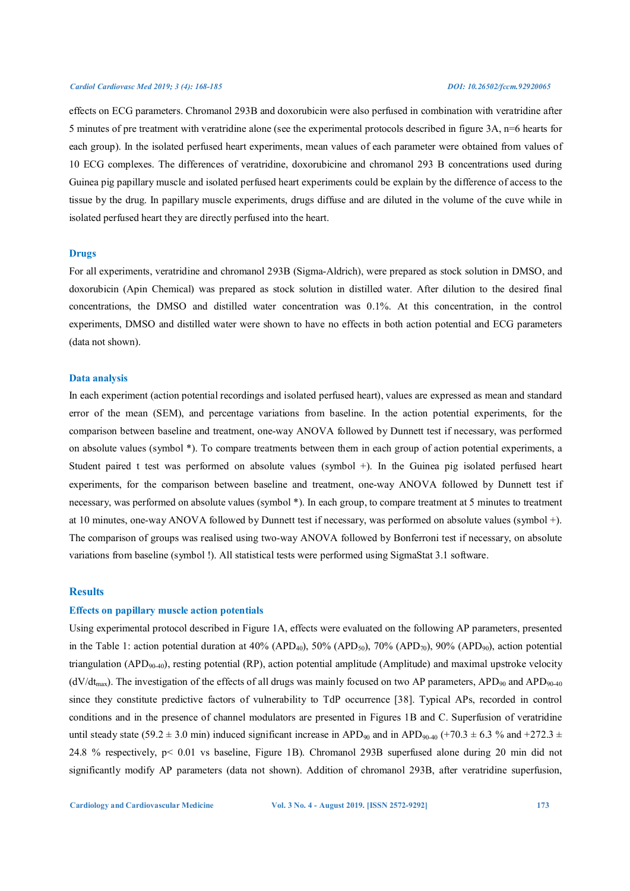effects on ECG parameters. Chromanol 293B and doxorubicin were also perfused in combination with veratridine after 5 minutes of pre treatment with veratridine alone (see the experimental protocols described in figure 3A, n=6 hearts for each group). In the isolated perfused heart experiments, mean values of each parameter were obtained from values of 10 ECG complexes. The differences of veratridine, doxorubicine and chromanol 293 B concentrations used during Guinea pig papillary muscle and isolated perfused heart experiments could be explain by the difference of access to the tissue by the drug. In papillary muscle experiments, drugs diffuse and are diluted in the volume of the cuve while in isolated perfused heart they are directly perfused into the heart.

# **Drugs**

For all experiments, veratridine and chromanol 293B (Sigma-Aldrich), were prepared as stock solution in DMSO, and doxorubicin (Apin Chemical) was prepared as stock solution in distilled water. After dilution to the desired final concentrations, the DMSO and distilled water concentration was 0.1%. At this concentration, in the control experiments, DMSO and distilled water were shown to have no effects in both action potential and ECG parameters (data not shown).

# **Data analysis**

In each experiment (action potential recordings and isolated perfused heart), values are expressed as mean and standard error of the mean (SEM), and percentage variations from baseline. In the action potential experiments, for the comparison between baseline and treatment, one-way ANOVA followed by Dunnett test if necessary, was performed on absolute values (symbol \*). To compare treatments between them in each group of action potential experiments, a Student paired t test was performed on absolute values (symbol +). In the Guinea pig isolated perfused heart experiments, for the comparison between baseline and treatment, one-way ANOVA followed by Dunnett test if necessary, was performed on absolute values (symbol \*). In each group, to compare treatment at 5 minutes to treatment at 10 minutes, one-way ANOVA followed by Dunnett test if necessary, was performed on absolute values (symbol +). The comparison of groups was realised using two-way ANOVA followed by Bonferroni test if necessary, on absolute variations from baseline (symbol !). All statistical tests were performed using SigmaStat 3.1 software.

# **Results**

### **Effects on papillary muscle action potentials**

Using experimental protocol described in Figure 1A, effects were evaluated on the following AP parameters, presented in the Table 1: action potential duration at  $40\%$  (APD<sub>40</sub>), 50% (APD<sub>50</sub>), 70% (APD<sub>70</sub>), 90% (APD<sub>90</sub>), action potential triangulation (APD<sub>90-40</sub>), resting potential (RP), action potential amplitude (Amplitude) and maximal upstroke velocity  $(dV/dt<sub>max</sub>)$ . The investigation of the effects of all drugs was mainly focused on two AP parameters, APD<sub>90</sub> and APD<sub>90-40</sub> since they constitute predictive factors of vulnerability to TdP occurrence [38]. Typical APs, recorded in control conditions and in the presence of channel modulators are presented in Figures 1B and C. Superfusion of veratridine until steady state (59.2  $\pm$  3.0 min) induced significant increase in APD<sub>90</sub> and in APD<sub>90-40</sub> (+70.3  $\pm$  6.3 % and +272.3  $\pm$ 24.8 % respectively, p< 0.01 vs baseline, Figure 1B). Chromanol 293B superfused alone during 20 min did not significantly modify AP parameters (data not shown). Addition of chromanol 293B, after veratridine superfusion,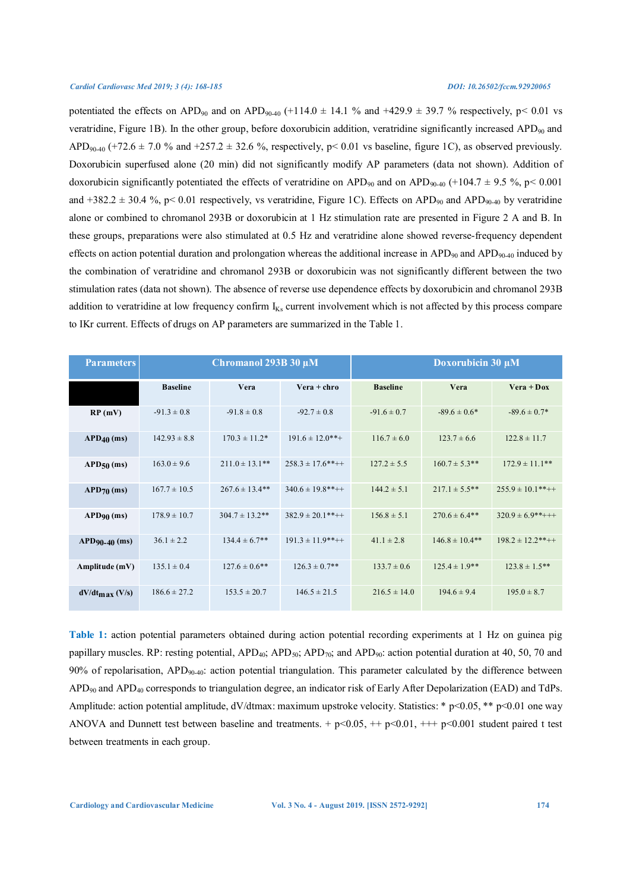potentiated the effects on APD<sub>90</sub> and on APD<sub>90-40</sub> (+114.0  $\pm$  14.1 % and +429.9  $\pm$  39.7 % respectively, p< 0.01 vs veratridine, Figure 1B). In the other group, before doxorubicin addition, veratridine significantly increased APD<sub>90</sub> and APD<sub>90-40</sub> (+72.6  $\pm$  7.0 % and +257.2  $\pm$  32.6 %, respectively, p< 0.01 vs baseline, figure 1C), as observed previously. Doxorubicin superfused alone (20 min) did not significantly modify AP parameters (data not shown). Addition of doxorubicin significantly potentiated the effects of veratridine on APD<sub>90</sub> and on APD<sub>90-40</sub> (+104.7  $\pm$  9.5 %, p< 0.001 and +382.2  $\pm$  30.4 %, p< 0.01 respectively, vs veratridine, Figure 1C). Effects on APD<sub>90</sub> and APD<sub>90-40</sub> by veratridine alone or combined to chromanol 293B or doxorubicin at 1 Hz stimulation rate are presented in Figure 2 A and B. In these groups, preparations were also stimulated at 0.5 Hz and veratridine alone showed reverse-frequency dependent effects on action potential duration and prolongation whereas the additional increase in APD<sub>90</sub> and APD<sub>90-40</sub> induced by the combination of veratridine and chromanol 293B or doxorubicin was not significantly different between the two stimulation rates (data not shown). The absence of reverse use dependence effects by doxorubicin and chromanol 293B addition to veratridine at low frequency confirm  $I_{Ks}$  current involvement which is not affected by this process compare to IKr current. Effects of drugs on AP parameters are summarized in the Table 1.

| <b>Parameters</b>       | Chromanol 293B 30 µM |                     |                       | Doxorubicin 30 µM |                     |                        |
|-------------------------|----------------------|---------------------|-----------------------|-------------------|---------------------|------------------------|
|                         | <b>Baseline</b>      | Vera                | $\bf{V}era + chro$    | <b>Baseline</b>   | Vera                | $\bf{V}era + \bf{Dox}$ |
| RP(mV)                  | $-91.3 \pm 0.8$      | $-91.8 \pm 0.8$     | $-92.7 \pm 0.8$       | $-91.6 \pm 0.7$   | $-89.6 \pm 0.6*$    | $-89.6 \pm 0.7*$       |
| $APD40$ (ms)            | $142.93 \pm 8.8$     | $170.3 \pm 11.2^*$  | $191.6 \pm 12.0$ **+  | $116.7 \pm 6.0$   | $123.7 \pm 6.6$     | $122.8 \pm 11.7$       |
| $APD50$ (ms)            | $163.0 \pm 9.6$      | $211.0 \pm 13.1$ ** | $258.3 \pm 17.6$ **++ | $127.2 \pm 5.5$   | $160.7 \pm 5.3$ **  | $172.9 \pm 11.1$ **    |
| $APD_{70}$ (ms)         | $167.7 \pm 10.5$     | $267.6 \pm 13.4**$  | $340.6 \pm 19.8$ **++ | $144.2 \pm 5.1$   | $217.1 \pm 5.5$ **  | $255.9 \pm 10.1$ **++  |
| $APD90$ (ms)            | $178.9 \pm 10.7$     | $304.7 \pm 13.2$ ** | $382.9 \pm 20.1$ **++ | $156.8 \pm 5.1$   | $270.6 \pm 6.4**$   | $320.9 \pm 6.9$ **+++  |
| $APD90-40$ (ms)         | $36.1 \pm 2.2$       | $134.4 \pm 6.7**$   | $191.3 \pm 11.9$ **++ | $41.1 \pm 2.8$    | $146.8 \pm 10.4$ ** | $198.2 \pm 12.2$ **++  |
| Amplitude $(mV)$        | $135.1 \pm 0.4$      | $127.6 \pm 0.6$ **  | $126.3 \pm 0.7$ **    | $133.7 \pm 0.6$   | $125.4 \pm 1.9**$   | $123.8 \pm 1.5$ **     |
| $dV/dt_{\rm max}$ (V/s) | $186.6 \pm 27.2$     | $153.5 \pm 20.7$    | $146.5 \pm 21.5$      | $216.5 \pm 14.0$  | $194.6 \pm 9.4$     | $195.0 \pm 8.7$        |

**Table 1:** action potential parameters obtained during action potential recording experiments at 1 Hz on guinea pig papillary muscles. RP: resting potential,  $APD<sub>40</sub>$ ;  $APD<sub>50</sub>$ ;  $APD<sub>70</sub>$ ; and  $APD<sub>90</sub>$ : action potential duration at 40, 50, 70 and 90% of repolarisation,  $APD_{90-40}$ : action potential triangulation. This parameter calculated by the difference between APD90 and APD40 corresponds to triangulation degree, an indicator risk of Early After Depolarization (EAD) and TdPs. Amplitude: action potential amplitude, dV/dtmax: maximum upstroke velocity. Statistics: \* p<0.05, \*\* p<0.01 one way ANOVA and Dunnett test between baseline and treatments. +  $p<0.05$ , ++ $p<0.01$ , +++  $p<0.001$  student paired t test between treatments in each group.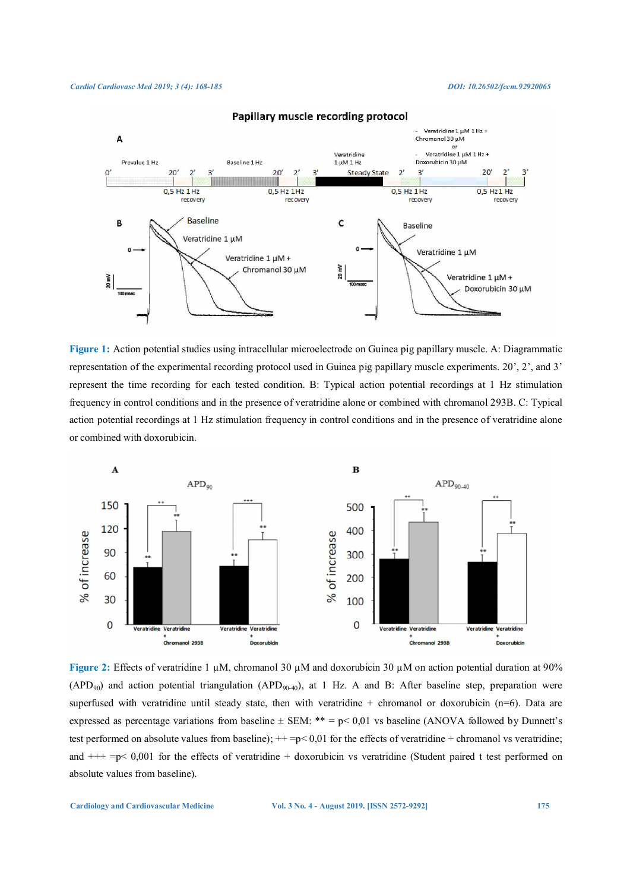

# Papillary muscle recording protocol

**Figure 1:** Action potential studies using intracellular microelectrode on Guinea pig papillary muscle. A: Diagrammatic representation of the experimental recording protocol used in Guinea pig papillary muscle experiments. 20', 2', and 3' represent the time recording for each tested condition. B: Typical action potential recordings at 1 Hz stimulation frequency in control conditions and in the presence of veratridine alone or combined with chromanol 293B. C: Typical action potential recordings at 1 Hz stimulation frequency in control conditions and in the presence of veratridine alone or combined with doxorubicin.



**Figure 2:** Effects of veratridine 1 µM, chromanol 30 µM and doxorubicin 30 µM on action potential duration at 90%  $(APD<sub>90</sub>)$  and action potential triangulation  $(APD<sub>90-40</sub>)$ , at 1 Hz. A and B: After baseline step, preparation were superfused with veratridine until steady state, then with veratridine + chromanol or doxorubicin ( $n=6$ ). Data are expressed as percentage variations from baseline  $\pm$  SEM: \*\* = p< 0,01 vs baseline (ANOVA followed by Dunnett's test performed on absolute values from baseline);  $++=p<0,01$  for the effects of veratridine + chromanol vs veratridine; and  $++=p< 0,001$  for the effects of veratridine  $+$  doxorubicin vs veratridine (Student paired t test performed on absolute values from baseline).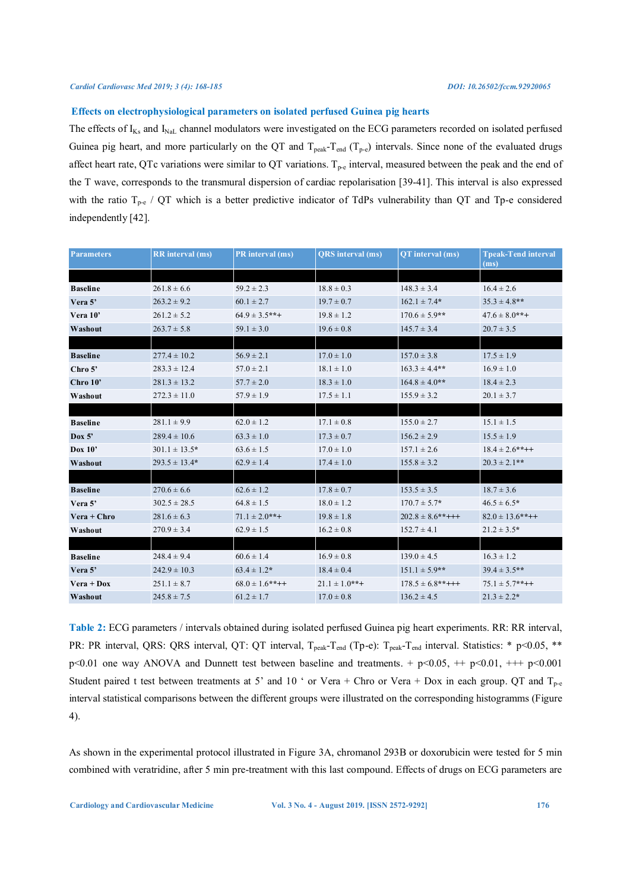#### **Effects on electrophysiological parameters on isolated perfused Guinea pig hearts**

The effects of  $I_{Ks}$  and  $I_{NaL}$  channel modulators were investigated on the ECG parameters recorded on isolated perfused Guinea pig heart, and more particularly on the QT and  $T_{peak} - T_{end}$  ( $T_{p-e}$ ) intervals. Since none of the evaluated drugs affect heart rate, QTc variations were similar to QT variations.  $T_{p-e}$  interval, measured between the peak and the end of the T wave, corresponds to the transmural dispersion of cardiac repolarisation [39-41]. This interval is also expressed with the ratio  $T_{p-e}$  / QT which is a better predictive indicator of TdPs vulnerability than QT and Tp-e considered independently [42].

| <b>Parameters</b>      | <b>RR</b> interval (ms) | PR interval (ms)    | <b>ORS</b> interval (ms) | OT interval (ms)      | <b>Tpeak-Tend interval</b><br>(ms) |
|------------------------|-------------------------|---------------------|--------------------------|-----------------------|------------------------------------|
|                        |                         |                     |                          |                       |                                    |
| <b>Baseline</b>        | $261.8 \pm 6.6$         | $59.2 \pm 2.3$      | $18.8 \pm 0.3$           | $148.3 \pm 3.4$       | $16.4 \pm 2.6$                     |
| Vera 5'                | $263.2 \pm 9.2$         | $60.1 \pm 2.7$      | $19.7 \pm 0.7$           | $162.1 \pm 7.4*$      | $35.3 \pm 4.8$ **                  |
| Vera 10'               | $261.2 \pm 5.2$         | $64.9 \pm 3.5$ **+  | $19.8 \pm 1.2$           | $170.6 \pm 5.9$ **    | $47.6 \pm 8.0$ **+                 |
| Washout                | $263.7 \pm 5.8$         | $59.1 \pm 3.0$      | $19.6 \pm 0.8$           | $145.7 \pm 3.4$       | $20.7 \pm 3.5$                     |
|                        |                         |                     |                          |                       |                                    |
| <b>Baseline</b>        | $277.4 \pm 10.2$        | $56.9 \pm 2.1$      | $17.0 \pm 1.0$           | $157.0 \pm 3.8$       | $17.5 \pm 1.9$                     |
| Chro $5$ '             | $283.3 \pm 12.4$        | $57.0 \pm 2.1$      | $18.1 \pm 1.0$           | $163.3 \pm 4.4**$     | $16.9 \pm 1.0$                     |
| Chro 10'               | $281.3 \pm 13.2$        | $57.7 \pm 2.0$      | $18.3 \pm 1.0$           | $164.8 \pm 4.0**$     | $18.4 \pm 2.3$                     |
| Washout                | $272.3 \pm 11.0$        | $57.9 \pm 1.9$      | $17.5 \pm 1.1$           | $155.9 \pm 3.2$       | $20.1 \pm 3.7$                     |
|                        |                         |                     |                          |                       |                                    |
| <b>Baseline</b>        | $281.1 \pm 9.9$         | $62.0 \pm 1.2$      | $17.1 \pm 0.8$           | $155.0 \pm 2.7$       | $15.1 \pm 1.5$                     |
| Dox $5'$               | $289.4 \pm 10.6$        | $63.3 \pm 1.0$      | $17.3 \pm 0.7$           | $156.2 \pm 2.9$       | $15.5 \pm 1.9$                     |
| Dox $10^{\circ}$       | $301.1 \pm 13.5*$       | $63.6 \pm 1.5$      | $17.0 \pm 1.0$           | $157.1 \pm 2.6$       | $18.4 \pm 2.6$ **++                |
| Washout                | $293.5 \pm 13.4*$       | $62.9 \pm 1.4$      | $17.4 \pm 1.0$           | $155.8 \pm 3.2$       | $20.3 \pm 2.1**$                   |
|                        |                         |                     |                          |                       |                                    |
| <b>Baseline</b>        | $270.6 \pm 6.6$         | $62.6 \pm 1.2$      | $17.8 \pm 0.7$           | $153.5 \pm 3.5$       | $18.7 \pm 3.6$                     |
| Vera 5'                | $302.5 \pm 28.5$        | $64.8 \pm 1.5$      | $18.0 \pm 1.2$           | $170.7 \pm 5.7*$      | $46.5 \pm 6.5*$                    |
| Vera + Chro            | $281.6 \pm 6.3$         | $71.1 \pm 2.0$ **+  | $19.8 \pm 1.8$           | $202.8 \pm 8.6$ **+++ | $82.0 \pm 13.6$ **++               |
| Washout                | $270.9 \pm 3.4$         | $62.9 \pm 1.5$      | $16.2 \pm 0.8$           | $152.7 \pm 4.1$       | $21.2 \pm 3.5*$                    |
|                        |                         |                     |                          |                       |                                    |
| <b>Baseline</b>        | $248.4 \pm 9.4$         | $60.6 \pm 1.4$      | $16.9 \pm 0.8$           | $139.0 \pm 4.5$       | $16.3 \pm 1.2$                     |
| Vera 5'                | $242.9 \pm 10.3$        | $63.4 \pm 1.2*$     | $18.4 \pm 0.4$           | $151.1 \pm 5.9$ **    | $39.4 \pm 3.5$ **                  |
| $\bf{V}era + \bf{Dox}$ | $251.1 \pm 8.7$         | $68.0 \pm 1.6$ **++ | $21.1 \pm 1.0$ **+       | $178.5 \pm 6.8$ **+++ | $75.1 \pm 5.7$ **++                |
| Washout                | $245.8 \pm 7.5$         | $61.2 \pm 1.7$      | $17.0 \pm 0.8$           | $136.2 \pm 4.5$       | $21.3 \pm 2.2*$                    |

**Table 2:** ECG parameters / intervals obtained during isolated perfused Guinea pig heart experiments. RR: RR interval, PR: PR interval, QRS: QRS interval, QT: QT interval, T<sub>peak</sub>-T<sub>end</sub> (Tp-e): T<sub>peak</sub>-T<sub>end</sub> interval. Statistics: \* p<0.05, \*\* p<0.01 one way ANOVA and Dunnett test between baseline and treatments. + p<0.05, ++ p<0.01, +++ p<0.001 Student paired t test between treatments at 5' and 10 ' or Vera + Chro or Vera + Dox in each group. QT and  $T_{p-e}$ interval statistical comparisons between the different groups were illustrated on the corresponding histogramms (Figure 4).

As shown in the experimental protocol illustrated in Figure 3A, chromanol 293B or doxorubicin were tested for 5 min combined with veratridine, after 5 min pre-treatment with this last compound. Effects of drugs on ECG parameters are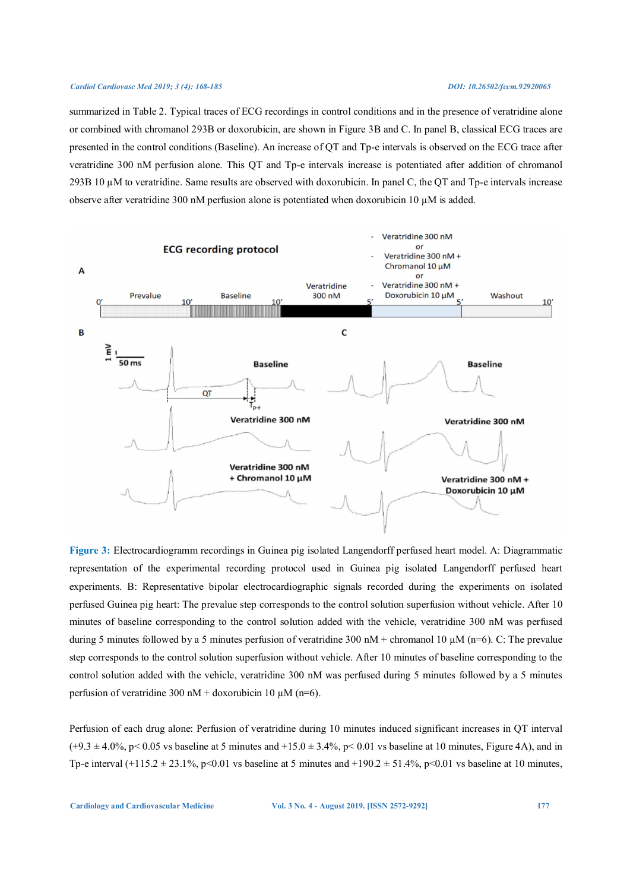summarized in Table 2. Typical traces of ECG recordings in control conditions and in the presence of veratridine alone or combined with chromanol 293B or doxorubicin, are shown in Figure 3B and C. In panel B, classical ECG traces are presented in the control conditions (Baseline). An increase of QT and Tp-e intervals is observed on the ECG trace after veratridine 300 nM perfusion alone. This QT and Tp-e intervals increase is potentiated after addition of chromanol 293B 10 µM to veratridine. Same results are observed with doxorubicin. In panel C, the QT and Tp-e intervals increase observe after veratridine 300 nM perfusion alone is potentiated when doxorubicin 10  $\mu$ M is added.



**Figure 3:** Electrocardiogramm recordings in Guinea pig isolated Langendorff perfused heart model. A: Diagrammatic representation of the experimental recording protocol used in Guinea pig isolated Langendorff perfused heart experiments. B: Representative bipolar electrocardiographic signals recorded during the experiments on isolated perfused Guinea pig heart: The prevalue step corresponds to the control solution superfusion without vehicle. After 10 minutes of baseline corresponding to the control solution added with the vehicle, veratridine 300 nM was perfused during 5 minutes followed by a 5 minutes perfusion of veratridine 300 nM + chromanol 10  $\mu$ M (n=6). C: The prevalue step corresponds to the control solution superfusion without vehicle. After 10 minutes of baseline corresponding to the control solution added with the vehicle, veratridine 300 nM was perfused during 5 minutes followed by a 5 minutes perfusion of veratridine 300 nM + doxorubicin 10  $\mu$ M (n=6).

Perfusion of each drug alone: Perfusion of veratridine during 10 minutes induced significant increases in QT interval  $(+9.3 \pm 4.0\%, p < 0.05 \text{ vs baseline at } 5 \text{ minutes and } +15.0 \pm 3.4\%, p < 0.01 \text{ vs baseline at } 10 \text{ minutes, Figure 4A}),$  and in Tp-e interval  $(+115.2 \pm 23.1\%$ , p<0.01 vs baseline at 5 minutes and  $+190.2 \pm 51.4\%$ , p<0.01 vs baseline at 10 minutes,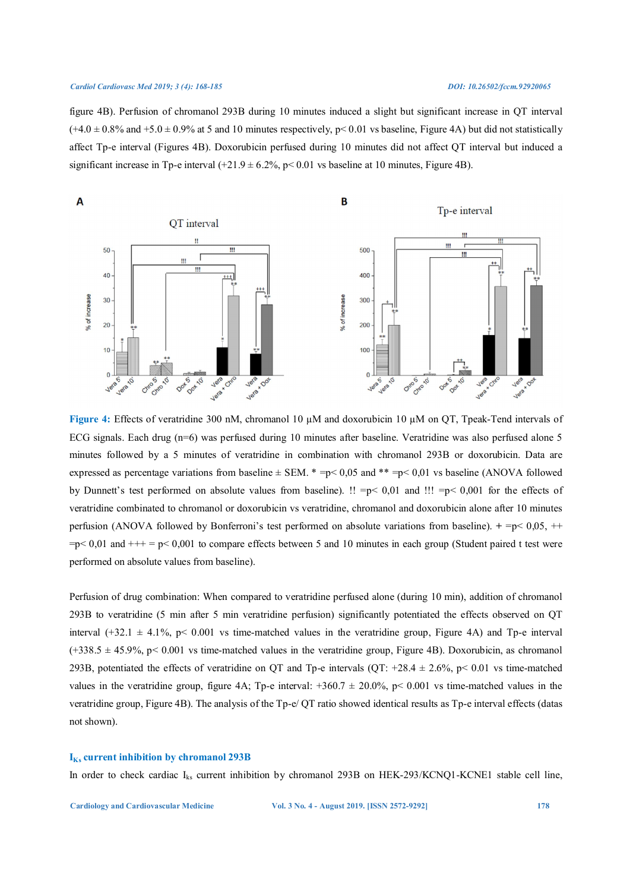figure 4B). Perfusion of chromanol 293B during 10 minutes induced a slight but significant increase in QT interval  $(+4.0 \pm 0.8\%$  and  $+5.0 \pm 0.9\%$  at 5 and 10 minutes respectively, p< 0.01 vs baseline, Figure 4A) but did not statistically affect Tp-e interval (Figures 4B). Doxorubicin perfused during 10 minutes did not affect QT interval but induced a significant increase in Tp-e interval  $(+21.9 \pm 6.2\%)$ , p< 0.01 vs baseline at 10 minutes, Figure 4B).



**Figure 4:** Effects of veratridine 300 nM, chromanol 10 µM and doxorubicin 10 µM on QT, Tpeak-Tend intervals of ECG signals. Each drug (n=6) was perfused during 10 minutes after baseline. Veratridine was also perfused alone 5 minutes followed by a 5 minutes of veratridine in combination with chromanol 293B or doxorubicin. Data are expressed as percentage variations from baseline  $\pm$  SEM. \* =p< 0,05 and \*\* =p< 0,01 vs baseline (ANOVA followed by Dunnett's test performed on absolute values from baseline). !! =p< 0,01 and !!! =p< 0,001 for the effects of veratridine combinated to chromanol or doxorubicin vs veratridine, chromanol and doxorubicin alone after 10 minutes perfusion (ANOVA followed by Bonferroni's test performed on absolute variations from baseline). **+** =p< 0,05, ++  $=p< 0.01$  and  $++= p< 0.001$  to compare effects between 5 and 10 minutes in each group (Student paired t test were performed on absolute values from baseline).

Perfusion of drug combination: When compared to veratridine perfused alone (during 10 min), addition of chromanol 293B to veratridine (5 min after 5 min veratridine perfusion) significantly potentiated the effects observed on QT interval (+32.1  $\pm$  4.1%, p< 0.001 vs time-matched values in the veratridine group, Figure 4A) and Tp-e interval  $(+338.5 \pm 45.9\%, p < 0.001$  vs time-matched values in the veratridine group, Figure 4B). Doxorubicin, as chromanol 293B, potentiated the effects of veratridine on QT and Tp-e intervals (QT: +28.4  $\pm$  2.6%, p< 0.01 vs time-matched values in the veratridine group, figure 4A; Tp-e interval:  $+360.7 \pm 20.0\%$ , p $< 0.001$  vs time-matched values in the veratridine group, Figure 4B). The analysis of the Tp-e/ QT ratio showed identical results as Tp-e interval effects (datas not shown).

# **IKs current inhibition by chromanol 293B**

In order to check cardiac I<sub>ks</sub> current inhibition by chromanol 293B on HEK-293/KCNQ1-KCNE1 stable cell line,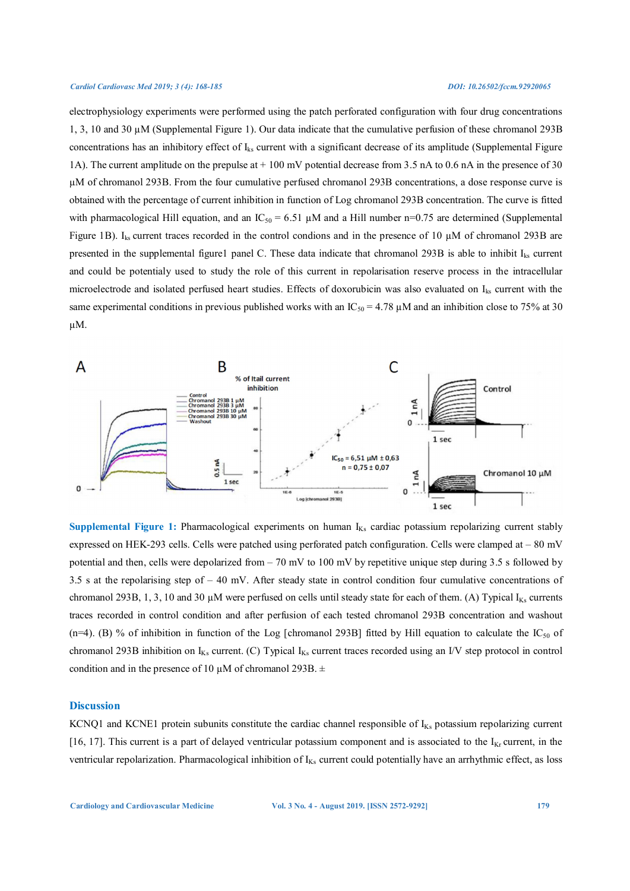electrophysiology experiments were performed using the patch perforated configuration with four drug concentrations 1, 3, 10 and 30 µM (Supplemental Figure 1). Our data indicate that the cumulative perfusion of these chromanol 293B concentrations has an inhibitory effect of  $I_{ks}$  current with a significant decrease of its amplitude (Supplemental Figure 1A). The current amplitude on the prepulse at + 100 mV potential decrease from 3.5 nA to 0.6 nA in the presence of 30 µM of chromanol 293B. From the four cumulative perfused chromanol 293B concentrations, a dose response curve is obtained with the percentage of current inhibition in function of Log chromanol 293B concentration. The curve is fitted with pharmacological Hill equation, and an  $IC_{50} = 6.51 \mu M$  and a Hill number n=0.75 are determined (Supplemental Figure 1B).  $I_{ks}$  current traces recorded in the control condions and in the presence of 10  $\mu$ M of chromanol 293B are presented in the supplemental figure1 panel C. These data indicate that chromanol 293B is able to inhibit  $I_{ks}$  current and could be potentialy used to study the role of this current in repolarisation reserve process in the intracellular microelectrode and isolated perfused heart studies. Effects of doxorubicin was also evaluated on Iks current with the same experimental conditions in previous published works with an  $IC_{50} = 4.78 \mu M$  and an inhibition close to 75% at 30 µM.



Supplemental Figure 1: Pharmacological experiments on human I<sub>Ks</sub> cardiac potassium repolarizing current stably expressed on HEK-293 cells. Cells were patched using perforated patch configuration. Cells were clamped at – 80 mV potential and then, cells were depolarized from – 70 mV to 100 mV by repetitive unique step during 3.5 s followed by 3.5 s at the repolarising step of – 40 mV. After steady state in control condition four cumulative concentrations of chromanol 293B, 1, 3, 10 and 30  $\mu$ M were perfused on cells until steady state for each of them. (A) Typical I<sub>Ks</sub> currents traces recorded in control condition and after perfusion of each tested chromanol 293B concentration and washout (n=4). (B) % of inhibition in function of the Log [chromanol 293B] fitted by Hill equation to calculate the  $IC_{50}$  of chromanol 293B inhibition on  $I_{Ks}$  current. (C) Typical  $I_{Ks}$  current traces recorded using an I/V step protocol in control condition and in the presence of 10  $\mu$ M of chromanol 293B.  $\pm$ 

### **Discussion**

KCNQ1 and KCNE1 protein subunits constitute the cardiac channel responsible of  $I_{Ks}$  potassium repolarizing current [16, 17]. This current is a part of delayed ventricular potassium component and is associated to the  $I_{Kr}$  current, in the ventricular repolarization. Pharmacological inhibition of  $I_{Ks}$  current could potentially have an arrhythmic effect, as loss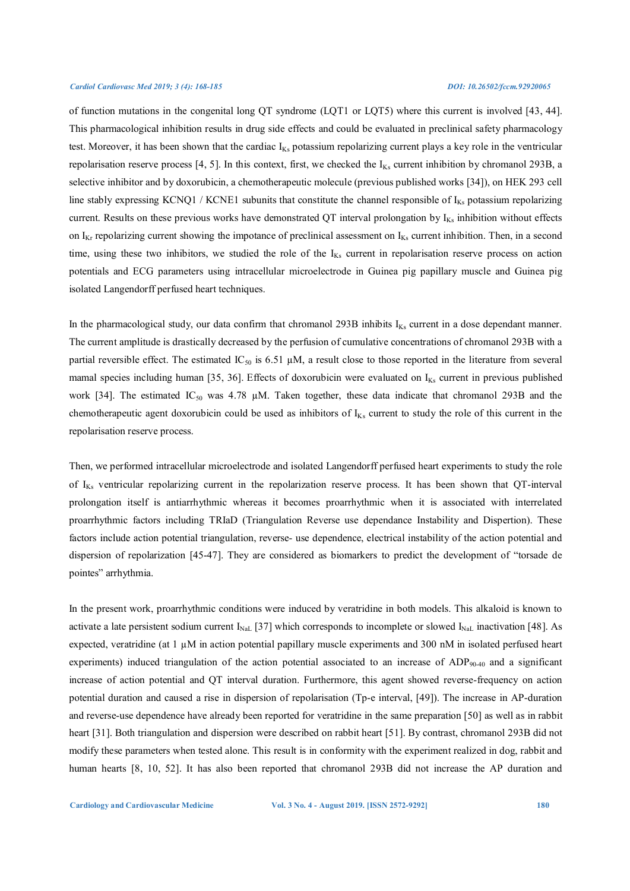of function mutations in the congenital long QT syndrome (LQT1 or LQT5) where this current is involved [43, 44]. This pharmacological inhibition results in drug side effects and could be evaluated in preclinical safety pharmacology test. Moreover, it has been shown that the cardiac  $I_{Ks}$  potassium repolarizing current plays a key role in the ventricular repolarisation reserve process [4, 5]. In this context, first, we checked the  $I_{Ks}$  current inhibition by chromanol 293B, a selective inhibitor and by doxorubicin, a chemotherapeutic molecule (previous published works [34]), on HEK 293 cell line stably expressing KCNQ1 / KCNE1 subunits that constitute the channel responsible of  $I_{Ks}$  potassium repolarizing current. Results on these previous works have demonstrated QT interval prolongation by  $I_{Ks}$  inhibition without effects on  $I_{Kr}$  repolarizing current showing the impotance of preclinical assessment on  $I_{Ks}$  current inhibition. Then, in a second time, using these two inhibitors, we studied the role of the  $I_{Ks}$  current in repolarisation reserve process on action potentials and ECG parameters using intracellular microelectrode in Guinea pig papillary muscle and Guinea pig isolated Langendorff perfused heart techniques.

In the pharmacological study, our data confirm that chromanol 293B inhibits  $I_{Ks}$  current in a dose dependant manner. The current amplitude is drastically decreased by the perfusion of cumulative concentrations of chromanol 293B with a partial reversible effect. The estimated  $IC_{50}$  is 6.51  $\mu$ M, a result close to those reported in the literature from several mamal species including human [35, 36]. Effects of doxorubicin were evaluated on  $I_{Ks}$  current in previous published work [34]. The estimated  $IC_{50}$  was 4.78  $\mu$ M. Taken together, these data indicate that chromanol 293B and the chemotherapeutic agent doxorubicin could be used as inhibitors of  $I_{Ks}$  current to study the role of this current in the repolarisation reserve process.

Then, we performed intracellular microelectrode and isolated Langendorff perfused heart experiments to study the role of I<sub>Ks</sub> ventricular repolarizing current in the repolarization reserve process. It has been shown that QT-interval prolongation itself is antiarrhythmic whereas it becomes proarrhythmic when it is associated with interrelated proarrhythmic factors including TRIaD (Triangulation Reverse use dependance Instability and Dispertion). These factors include action potential triangulation, reverse- use dependence, electrical instability of the action potential and dispersion of repolarization [45-47]. They are considered as biomarkers to predict the development of "torsade de pointes" arrhythmia.

In the present work, proarrhythmic conditions were induced by veratridine in both models. This alkaloid is known to activate a late persistent sodium current  $I_{\text{Nat}}$  [37] which corresponds to incomplete or slowed  $I_{\text{Nat}}$  inactivation [48]. As expected, veratridine (at  $1 \mu$ M in action potential papillary muscle experiments and 300 nM in isolated perfused heart experiments) induced triangulation of the action potential associated to an increase of  $ADP_{90-40}$  and a significant increase of action potential and QT interval duration. Furthermore, this agent showed reverse-frequency on action potential duration and caused a rise in dispersion of repolarisation (Tp-e interval, [49]). The increase in AP-duration and reverse-use dependence have already been reported for veratridine in the same preparation [50] as well as in rabbit heart [31]. Both triangulation and dispersion were described on rabbit heart [51]. By contrast, chromanol 293B did not modify these parameters when tested alone. This result is in conformity with the experiment realized in dog, rabbit and human hearts [8, 10, 52]. It has also been reported that chromanol 293B did not increase the AP duration and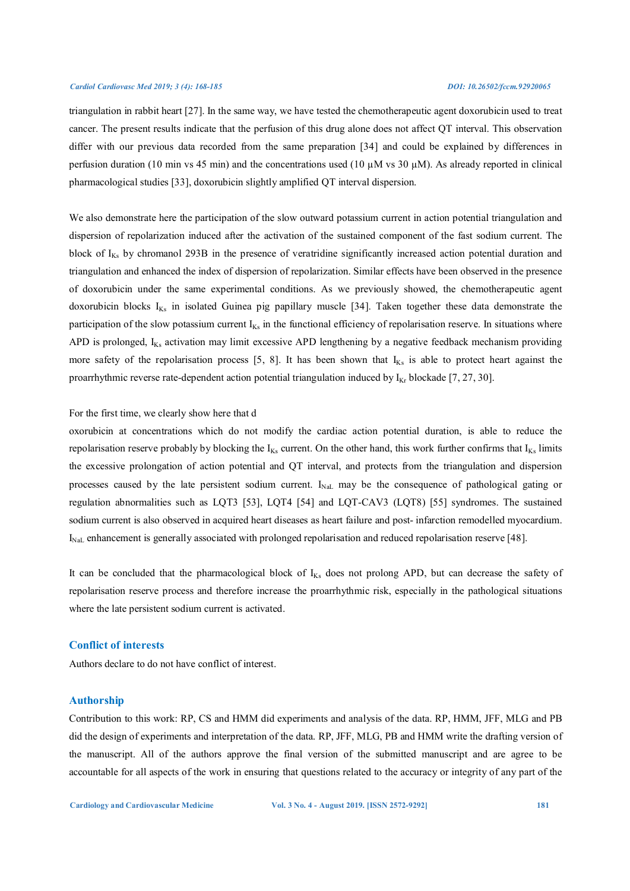triangulation in rabbit heart [27]. In the same way, we have tested the chemotherapeutic agent doxorubicin used to treat cancer. The present results indicate that the perfusion of this drug alone does not affect QT interval. This observation differ with our previous data recorded from the same preparation [34] and could be explained by differences in perfusion duration (10 min vs 45 min) and the concentrations used (10  $\mu$ M vs 30  $\mu$ M). As already reported in clinical pharmacological studies [33], doxorubicin slightly amplified QT interval dispersion.

We also demonstrate here the participation of the slow outward potassium current in action potential triangulation and dispersion of repolarization induced after the activation of the sustained component of the fast sodium current. The block of  $I_{Ks}$  by chromanol 293B in the presence of veratridine significantly increased action potential duration and triangulation and enhanced the index of dispersion of repolarization. Similar effects have been observed in the presence of doxorubicin under the same experimental conditions. As we previously showed, the chemotherapeutic agent doxorubicin blocks I<sub>Ks</sub> in isolated Guinea pig papillary muscle [34]. Taken together these data demonstrate the participation of the slow potassium current  $I_{Ks}$  in the functional efficiency of repolarisation reserve. In situations where APD is prolonged,  $I_{Ks}$  activation may limit excessive APD lengthening by a negative feedback mechanism providing more safety of the repolarisation process [5, 8]. It has been shown that  $I_{Ks}$  is able to protect heart against the proarrhythmic reverse rate-dependent action potential triangulation induced by  $I_{Kr}$  blockade [7, 27, 30].

# For the first time, we clearly show here that d

oxorubicin at concentrations which do not modify the cardiac action potential duration, is able to reduce the repolarisation reserve probably by blocking the  $I_{Ks}$  current. On the other hand, this work further confirms that  $I_{Ks}$  limits the excessive prolongation of action potential and QT interval, and protects from the triangulation and dispersion processes caused by the late persistent sodium current.  $I_{\text{NaL}}$  may be the consequence of pathological gating or regulation abnormalities such as LQT3 [53], LQT4 [54] and LQT-CAV3 (LQT8) [55] syndromes. The sustained sodium current is also observed in acquired heart diseases as heart failure and post- infarction remodelled myocardium. I<sub>NaL</sub> enhancement is generally associated with prolonged repolarisation and reduced repolarisation reserve [48].

It can be concluded that the pharmacological block of I<sub>Ks</sub> does not prolong APD, but can decrease the safety of repolarisation reserve process and therefore increase the proarrhythmic risk, especially in the pathological situations where the late persistent sodium current is activated.

# **Conflict of interests**

Authors declare to do not have conflict of interest.

# **Authorship**

Contribution to this work: RP, CS and HMM did experiments and analysis of the data. RP, HMM, JFF, MLG and PB did the design of experiments and interpretation of the data. RP, JFF, MLG, PB and HMM write the drafting version of the manuscript. All of the authors approve the final version of the submitted manuscript and are agree to be accountable for all aspects of the work in ensuring that questions related to the accuracy or integrity of any part of the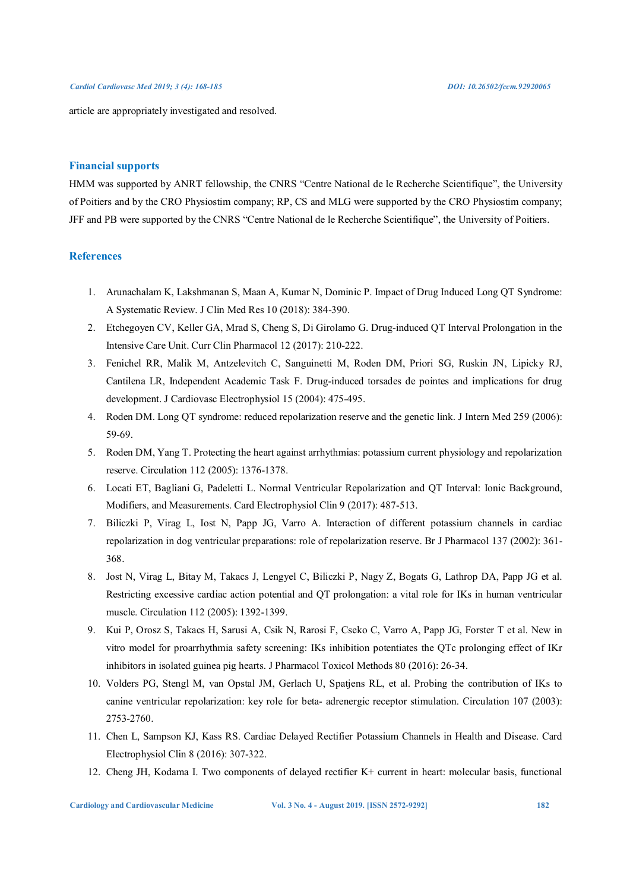article are appropriately investigated and resolved.

### **Financial supports**

HMM was supported by ANRT fellowship, the CNRS "Centre National de le Recherche Scientifique", the University of Poitiers and by the CRO Physiostim company; RP, CS and MLG were supported by the CRO Physiostim company; JFF and PB were supported by the CNRS "Centre National de le Recherche Scientifique", the University of Poitiers.

# **References**

- 1. Arunachalam K, Lakshmanan S, Maan A, Kumar N, Dominic P. Impact of Drug Induced Long QT Syndrome: A Systematic Review. J Clin Med Res 10 (2018): 384-390.
- 2. Etchegoyen CV, Keller GA, Mrad S, Cheng S, Di Girolamo G. Drug-induced QT Interval Prolongation in the Intensive Care Unit. Curr Clin Pharmacol 12 (2017): 210-222.
- 3. Fenichel RR, Malik M, Antzelevitch C, Sanguinetti M, Roden DM, Priori SG, Ruskin JN, Lipicky RJ, Cantilena LR, Independent Academic Task F. Drug-induced torsades de pointes and implications for drug development. J Cardiovasc Electrophysiol 15 (2004): 475-495.
- 4. Roden DM. Long QT syndrome: reduced repolarization reserve and the genetic link. J Intern Med 259 (2006): 59-69.
- 5. Roden DM, Yang T. Protecting the heart against arrhythmias: potassium current physiology and repolarization reserve. Circulation 112 (2005): 1376-1378.
- 6. Locati ET, Bagliani G, Padeletti L. Normal Ventricular Repolarization and QT Interval: Ionic Background, Modifiers, and Measurements. Card Electrophysiol Clin 9 (2017): 487-513.
- 7. Biliczki P, Virag L, Iost N, Papp JG, Varro A. Interaction of different potassium channels in cardiac repolarization in dog ventricular preparations: role of repolarization reserve. Br J Pharmacol 137 (2002): 361- 368.
- 8. Jost N, Virag L, Bitay M, Takacs J, Lengyel C, Biliczki P, Nagy Z, Bogats G, Lathrop DA, Papp JG et al. Restricting excessive cardiac action potential and QT prolongation: a vital role for IKs in human ventricular muscle. Circulation 112 (2005): 1392-1399.
- 9. Kui P, Orosz S, Takacs H, Sarusi A, Csik N, Rarosi F, Cseko C, Varro A, Papp JG, Forster T et al. New in vitro model for proarrhythmia safety screening: IKs inhibition potentiates the QTc prolonging effect of IKr inhibitors in isolated guinea pig hearts. J Pharmacol Toxicol Methods 80 (2016): 26-34.
- 10. Volders PG, Stengl M, van Opstal JM, Gerlach U, Spatjens RL, et al. Probing the contribution of IKs to canine ventricular repolarization: key role for beta- adrenergic receptor stimulation. Circulation 107 (2003): 2753-2760.
- 11. Chen L, Sampson KJ, Kass RS. Cardiac Delayed Rectifier Potassium Channels in Health and Disease. Card Electrophysiol Clin 8 (2016): 307-322.
- 12. Cheng JH, Kodama I. Two components of delayed rectifier K+ current in heart: molecular basis, functional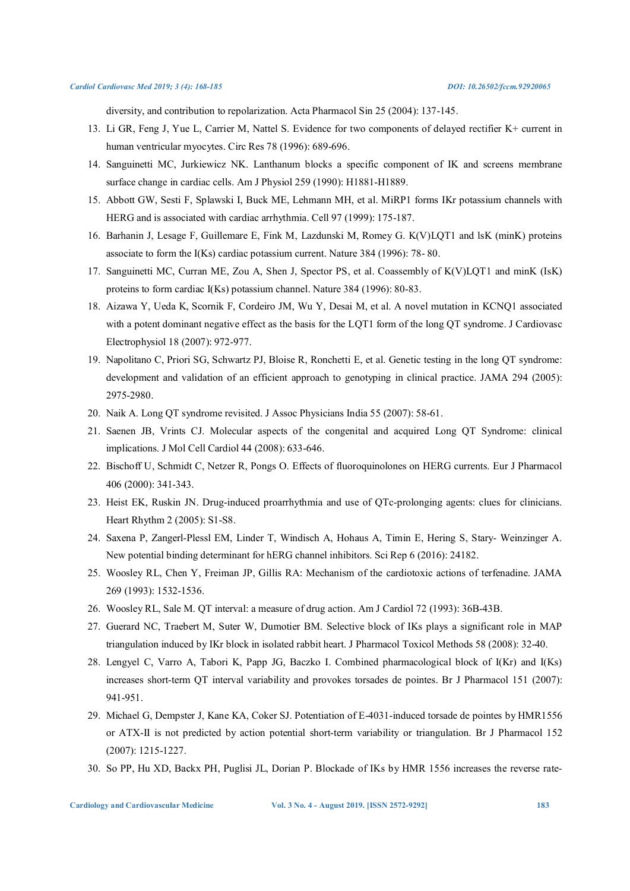diversity, and contribution to repolarization. Acta Pharmacol Sin 25 (2004): 137-145.

- 13. Li GR, Feng J, Yue L, Carrier M, Nattel S. Evidence for two components of delayed rectifier K+ current in human ventricular myocytes. Circ Res 78 (1996): 689-696.
- 14. Sanguinetti MC, Jurkiewicz NK. Lanthanum blocks a specific component of IK and screens membrane surface change in cardiac cells. Am J Physiol 259 (1990): H1881-H1889.
- 15. Abbott GW, Sesti F, Splawski I, Buck ME, Lehmann MH, et al. MiRP1 forms IKr potassium channels with HERG and is associated with cardiac arrhythmia. Cell 97 (1999): 175-187.
- 16. Barhanin J, Lesage F, Guillemare E, Fink M, Lazdunski M, Romey G. K(V)LQT1 and lsK (minK) proteins associate to form the I(Ks) cardiac potassium current. Nature 384 (1996): 78- 80.
- 17. Sanguinetti MC, Curran ME, Zou A, Shen J, Spector PS, et al. Coassembly of K(V)LQT1 and minK (IsK) proteins to form cardiac I(Ks) potassium channel. Nature 384 (1996): 80-83.
- 18. Aizawa Y, Ueda K, Scornik F, Cordeiro JM, Wu Y, Desai M, et al. A novel mutation in KCNQ1 associated with a potent dominant negative effect as the basis for the LQT1 form of the long QT syndrome. J Cardiovasc Electrophysiol 18 (2007): 972-977.
- 19. Napolitano C, Priori SG, Schwartz PJ, Bloise R, Ronchetti E, et al. Genetic testing in the long QT syndrome: development and validation of an efficient approach to genotyping in clinical practice. JAMA 294 (2005): 2975-2980.
- 20. Naik A. Long QT syndrome revisited. J Assoc Physicians India 55 (2007): 58-61.
- 21. Saenen JB, Vrints CJ. Molecular aspects of the congenital and acquired Long QT Syndrome: clinical implications. J Mol Cell Cardiol 44 (2008): 633-646.
- 22. Bischoff U, Schmidt C, Netzer R, Pongs O. Effects of fluoroquinolones on HERG currents. Eur J Pharmacol 406 (2000): 341-343.
- 23. Heist EK, Ruskin JN. Drug-induced proarrhythmia and use of QTc-prolonging agents: clues for clinicians. Heart Rhythm 2 (2005): S1-S8.
- 24. Saxena P, Zangerl-Plessl EM, Linder T, Windisch A, Hohaus A, Timin E, Hering S, Stary- Weinzinger A. New potential binding determinant for hERG channel inhibitors. Sci Rep 6 (2016): 24182.
- 25. Woosley RL, Chen Y, Freiman JP, Gillis RA: Mechanism of the cardiotoxic actions of terfenadine. JAMA 269 (1993): 1532-1536.
- 26. Woosley RL, Sale M. QT interval: a measure of drug action. Am J Cardiol 72 (1993): 36B-43B.
- 27. Guerard NC, Traebert M, Suter W, Dumotier BM. Selective block of IKs plays a significant role in MAP triangulation induced by IKr block in isolated rabbit heart. J Pharmacol Toxicol Methods 58 (2008): 32-40.
- 28. Lengyel C, Varro A, Tabori K, Papp JG, Baczko I. Combined pharmacological block of I(Kr) and I(Ks) increases short-term QT interval variability and provokes torsades de pointes. Br J Pharmacol 151 (2007): 941-951.
- 29. Michael G, Dempster J, Kane KA, Coker SJ. Potentiation of E-4031-induced torsade de pointes by HMR1556 or ATX-II is not predicted by action potential short-term variability or triangulation. Br J Pharmacol 152 (2007): 1215-1227.
- 30. So PP, Hu XD, Backx PH, Puglisi JL, Dorian P. Blockade of IKs by HMR 1556 increases the reverse rate-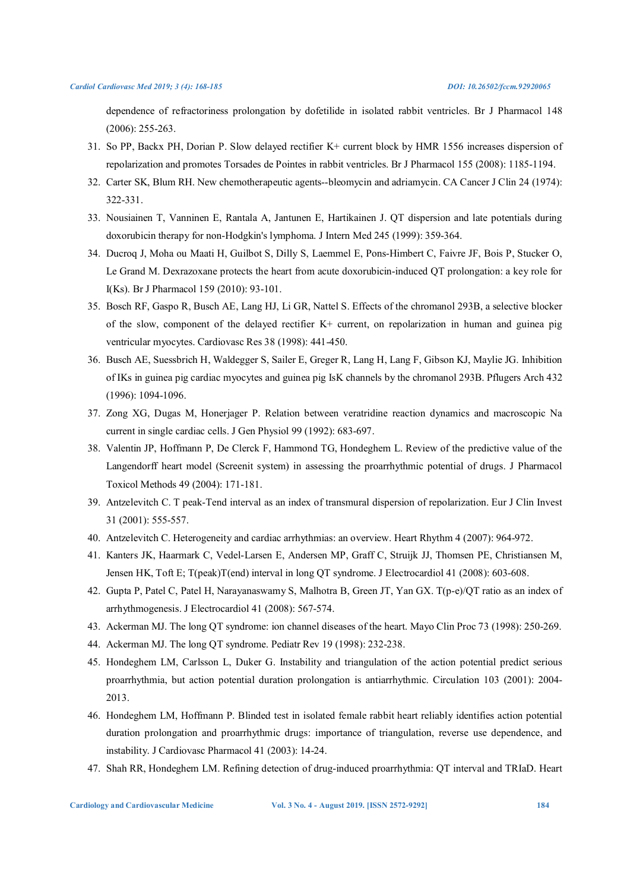dependence of refractoriness prolongation by dofetilide in isolated rabbit ventricles. Br J Pharmacol 148 (2006): 255-263.

- 31. So PP, Backx PH, Dorian P. Slow delayed rectifier K+ current block by HMR 1556 increases dispersion of repolarization and promotes Torsades de Pointes in rabbit ventricles. Br J Pharmacol 155 (2008): 1185-1194.
- 32. Carter SK, Blum RH. New chemotherapeutic agents--bleomycin and adriamycin. CA Cancer J Clin 24 (1974): 322-331.
- 33. Nousiainen T, Vanninen E, Rantala A, Jantunen E, Hartikainen J. QT dispersion and late potentials during doxorubicin therapy for non-Hodgkin's lymphoma. J Intern Med 245 (1999): 359-364.
- 34. Ducroq J, Moha ou Maati H, Guilbot S, Dilly S, Laemmel E, Pons-Himbert C, Faivre JF, Bois P, Stucker O, Le Grand M. Dexrazoxane protects the heart from acute doxorubicin-induced QT prolongation: a key role for I(Ks). Br J Pharmacol 159 (2010): 93-101.
- 35. Bosch RF, Gaspo R, Busch AE, Lang HJ, Li GR, Nattel S. Effects of the chromanol 293B, a selective blocker of the slow, component of the delayed rectifier K+ current, on repolarization in human and guinea pig ventricular myocytes. Cardiovasc Res 38 (1998): 441-450.
- 36. Busch AE, Suessbrich H, Waldegger S, Sailer E, Greger R, Lang H, Lang F, Gibson KJ, Maylie JG. Inhibition of IKs in guinea pig cardiac myocytes and guinea pig IsK channels by the chromanol 293B. Pflugers Arch 432 (1996): 1094-1096.
- 37. Zong XG, Dugas M, Honerjager P. Relation between veratridine reaction dynamics and macroscopic Na current in single cardiac cells. J Gen Physiol 99 (1992): 683-697.
- 38. Valentin JP, Hoffmann P, De Clerck F, Hammond TG, Hondeghem L. Review of the predictive value of the Langendorff heart model (Screenit system) in assessing the proarrhythmic potential of drugs. J Pharmacol Toxicol Methods 49 (2004): 171-181.
- 39. Antzelevitch C. T peak-Tend interval as an index of transmural dispersion of repolarization. Eur J Clin Invest 31 (2001): 555-557.
- 40. Antzelevitch C. Heterogeneity and cardiac arrhythmias: an overview. Heart Rhythm 4 (2007): 964-972.
- 41. Kanters JK, Haarmark C, Vedel-Larsen E, Andersen MP, Graff C, Struijk JJ, Thomsen PE, Christiansen M, Jensen HK, Toft E; T(peak)T(end) interval in long QT syndrome. J Electrocardiol 41 (2008): 603-608.
- 42. Gupta P, Patel C, Patel H, Narayanaswamy S, Malhotra B, Green JT, Yan GX. T(p-e)/QT ratio as an index of arrhythmogenesis. J Electrocardiol 41 (2008): 567-574.
- 43. Ackerman MJ. The long QT syndrome: ion channel diseases of the heart. Mayo Clin Proc 73 (1998): 250-269.
- 44. Ackerman MJ. The long QT syndrome. Pediatr Rev 19 (1998): 232-238.
- 45. Hondeghem LM, Carlsson L, Duker G. Instability and triangulation of the action potential predict serious proarrhythmia, but action potential duration prolongation is antiarrhythmic. Circulation 103 (2001): 2004- 2013.
- 46. Hondeghem LM, Hoffmann P. Blinded test in isolated female rabbit heart reliably identifies action potential duration prolongation and proarrhythmic drugs: importance of triangulation, reverse use dependence, and instability. J Cardiovasc Pharmacol 41 (2003): 14-24.
- 47. Shah RR, Hondeghem LM. Refining detection of drug-induced proarrhythmia: QT interval and TRIaD. Heart